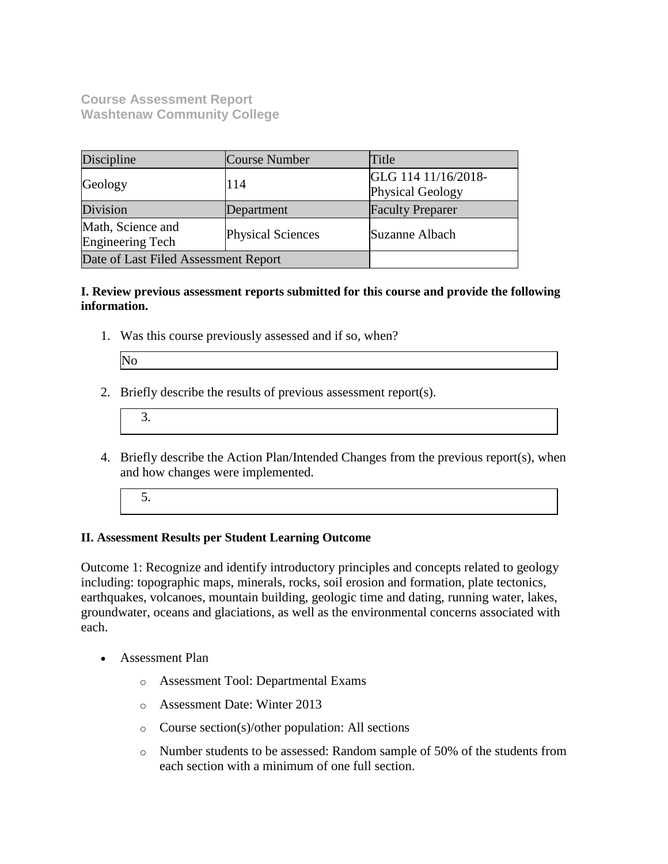**Course Assessment Report Washtenaw Community College**

| Discipline                                   | <b>Course Number</b>     | Title                                   |
|----------------------------------------------|--------------------------|-----------------------------------------|
| Geology                                      | 114                      | GLG 114 11/16/2018-<br>Physical Geology |
| Division                                     | Department               | <b>Faculty Preparer</b>                 |
| Math, Science and<br><b>Engineering Tech</b> | <b>Physical Sciences</b> | Suzanne Albach                          |
| Date of Last Filed Assessment Report         |                          |                                         |

### **I. Review previous assessment reports submitted for this course and provide the following information.**

1. Was this course previously assessed and if so, when?

| $N_0$ |
|-------|
|       |

2. Briefly describe the results of previous assessment report(s).

- 4. Briefly describe the Action Plan/Intended Changes from the previous report(s), when and how changes were implemented.
	- 5.

### **II. Assessment Results per Student Learning Outcome**

Outcome 1: Recognize and identify introductory principles and concepts related to geology including: topographic maps, minerals, rocks, soil erosion and formation, plate tectonics, earthquakes, volcanoes, mountain building, geologic time and dating, running water, lakes, groundwater, oceans and glaciations, as well as the environmental concerns associated with each.

- Assessment Plan
	- o Assessment Tool: Departmental Exams
	- o Assessment Date: Winter 2013
	- o Course section(s)/other population: All sections
	- o Number students to be assessed: Random sample of 50% of the students from each section with a minimum of one full section.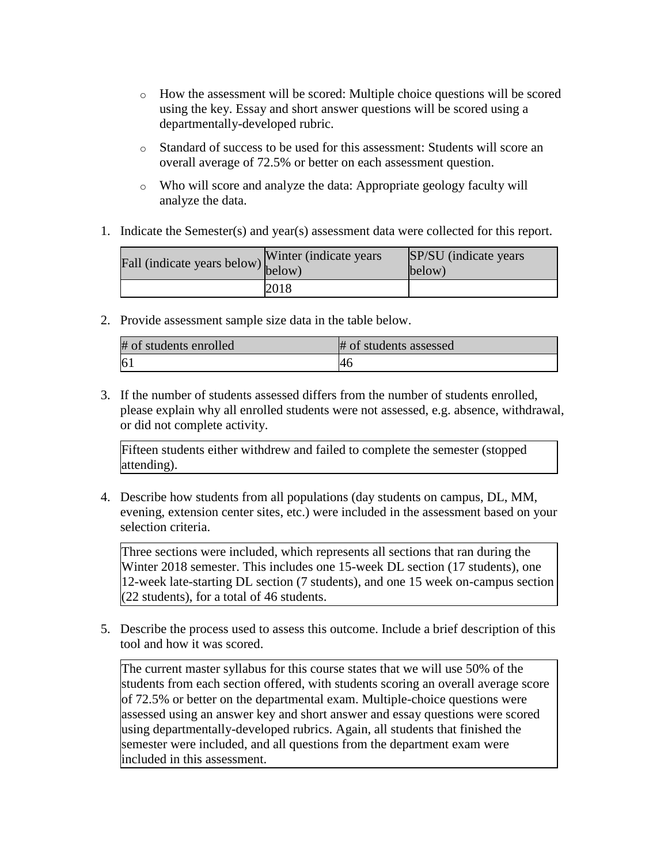- $\circ$  How the assessment will be scored: Multiple choice questions will be scored using the key. Essay and short answer questions will be scored using a departmentally-developed rubric.
- o Standard of success to be used for this assessment: Students will score an overall average of 72.5% or better on each assessment question.
- o Who will score and analyze the data: Appropriate geology faculty will analyze the data.
- 1. Indicate the Semester(s) and year(s) assessment data were collected for this report.

| Fall (indicate years below) below) | Winter (indicate years) | SP/SU (indicate years)<br>below) |
|------------------------------------|-------------------------|----------------------------------|
|                                    | 2018                    |                                  |

2. Provide assessment sample size data in the table below.

| # of students enrolled | # of students assessed |
|------------------------|------------------------|
| 6 <sub>1</sub>         |                        |

3. If the number of students assessed differs from the number of students enrolled, please explain why all enrolled students were not assessed, e.g. absence, withdrawal, or did not complete activity.

Fifteen students either withdrew and failed to complete the semester (stopped attending).

4. Describe how students from all populations (day students on campus, DL, MM, evening, extension center sites, etc.) were included in the assessment based on your selection criteria.

Three sections were included, which represents all sections that ran during the Winter 2018 semester. This includes one 15-week DL section (17 students), one 12-week late-starting DL section (7 students), and one 15 week on-campus section  $(22$  students), for a total of 46 students.

5. Describe the process used to assess this outcome. Include a brief description of this tool and how it was scored.

The current master syllabus for this course states that we will use 50% of the students from each section offered, with students scoring an overall average score of 72.5% or better on the departmental exam. Multiple-choice questions were assessed using an answer key and short answer and essay questions were scored using departmentally-developed rubrics. Again, all students that finished the semester were included, and all questions from the department exam were included in this assessment.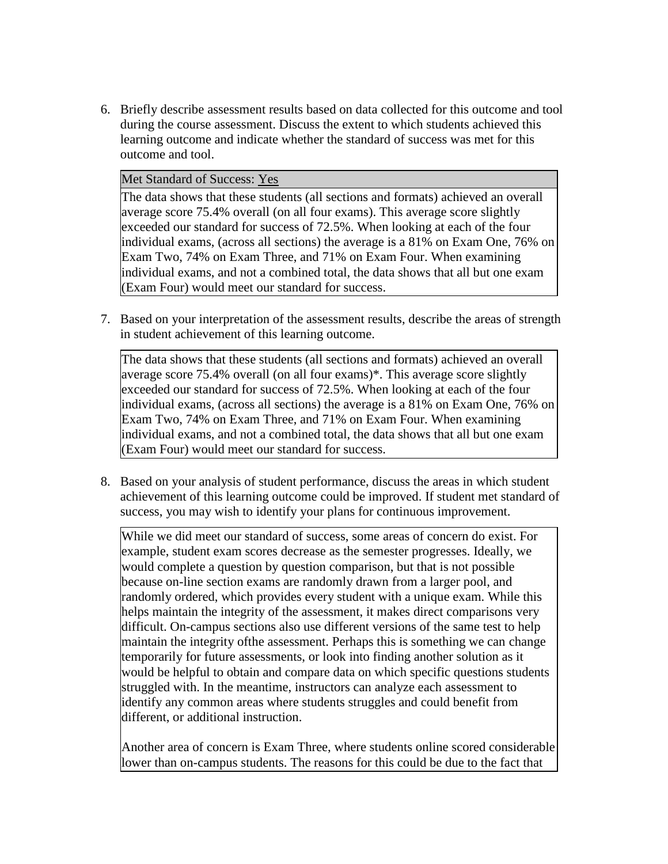6. Briefly describe assessment results based on data collected for this outcome and tool during the course assessment. Discuss the extent to which students achieved this learning outcome and indicate whether the standard of success was met for this outcome and tool.

#### Met Standard of Success: Yes

The data shows that these students (all sections and formats) achieved an overall average score 75.4% overall (on all four exams). This average score slightly exceeded our standard for success of 72.5%. When looking at each of the four individual exams, (across all sections) the average is a 81% on Exam One, 76% on Exam Two, 74% on Exam Three, and 71% on Exam Four. When examining individual exams, and not a combined total, the data shows that all but one exam (Exam Four) would meet our standard for success.

7. Based on your interpretation of the assessment results, describe the areas of strength in student achievement of this learning outcome.

The data shows that these students (all sections and formats) achieved an overall average score 75.4% overall (on all four exams)\*. This average score slightly exceeded our standard for success of 72.5%. When looking at each of the four individual exams, (across all sections) the average is a 81% on Exam One, 76% on Exam Two, 74% on Exam Three, and 71% on Exam Four. When examining individual exams, and not a combined total, the data shows that all but one exam (Exam Four) would meet our standard for success.

8. Based on your analysis of student performance, discuss the areas in which student achievement of this learning outcome could be improved. If student met standard of success, you may wish to identify your plans for continuous improvement.

While we did meet our standard of success, some areas of concern do exist. For example, student exam scores decrease as the semester progresses. Ideally, we would complete a question by question comparison, but that is not possible because on-line section exams are randomly drawn from a larger pool, and randomly ordered, which provides every student with a unique exam. While this helps maintain the integrity of the assessment, it makes direct comparisons very difficult. On-campus sections also use different versions of the same test to help maintain the integrity ofthe assessment. Perhaps this is something we can change temporarily for future assessments, or look into finding another solution as it would be helpful to obtain and compare data on which specific questions students struggled with. In the meantime, instructors can analyze each assessment to identify any common areas where students struggles and could benefit from different, or additional instruction.

Another area of concern is Exam Three, where students online scored considerable lower than on-campus students. The reasons for this could be due to the fact that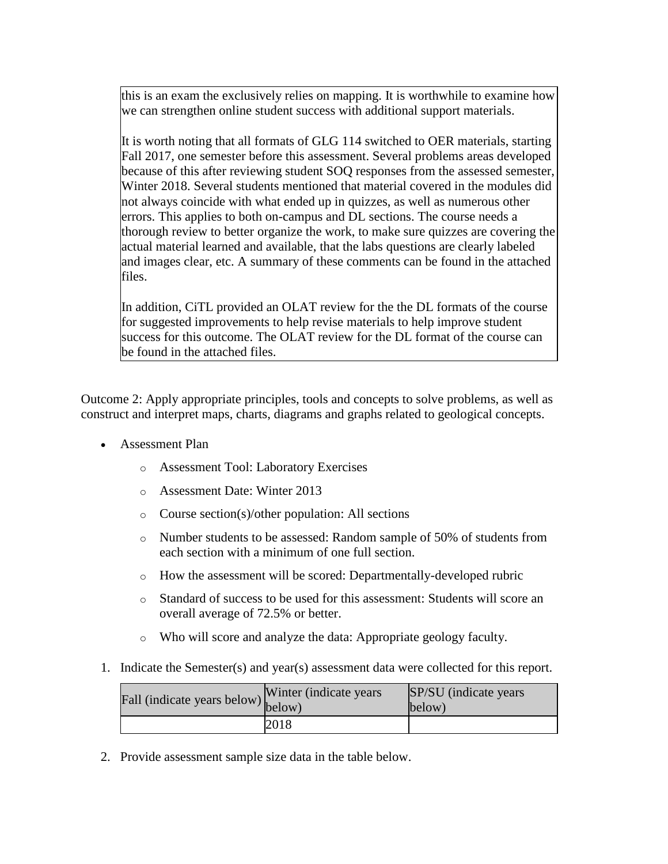this is an exam the exclusively relies on mapping. It is worthwhile to examine how we can strengthen online student success with additional support materials.

It is worth noting that all formats of GLG 114 switched to OER materials, starting Fall 2017, one semester before this assessment. Several problems areas developed because of this after reviewing student SOQ responses from the assessed semester, Winter 2018. Several students mentioned that material covered in the modules did not always coincide with what ended up in quizzes, as well as numerous other errors. This applies to both on-campus and DL sections. The course needs a thorough review to better organize the work, to make sure quizzes are covering the actual material learned and available, that the labs questions are clearly labeled and images clear, etc. A summary of these comments can be found in the attached files.

In addition, CiTL provided an OLAT review for the the DL formats of the course for suggested improvements to help revise materials to help improve student success for this outcome. The OLAT review for the DL format of the course can be found in the attached files.

Outcome 2: Apply appropriate principles, tools and concepts to solve problems, as well as construct and interpret maps, charts, diagrams and graphs related to geological concepts.

- Assessment Plan
	- o Assessment Tool: Laboratory Exercises
	- o Assessment Date: Winter 2013
	- o Course section(s)/other population: All sections
	- o Number students to be assessed: Random sample of 50% of students from each section with a minimum of one full section.
	- o How the assessment will be scored: Departmentally-developed rubric
	- o Standard of success to be used for this assessment: Students will score an overall average of 72.5% or better.
	- o Who will score and analyze the data: Appropriate geology faculty.
- 1. Indicate the Semester(s) and year(s) assessment data were collected for this report.

| rall (indicate years below) below) | Winter (indicate years) | SP/SU (indicate years)<br>below) |
|------------------------------------|-------------------------|----------------------------------|
|                                    | 2018                    |                                  |

2. Provide assessment sample size data in the table below.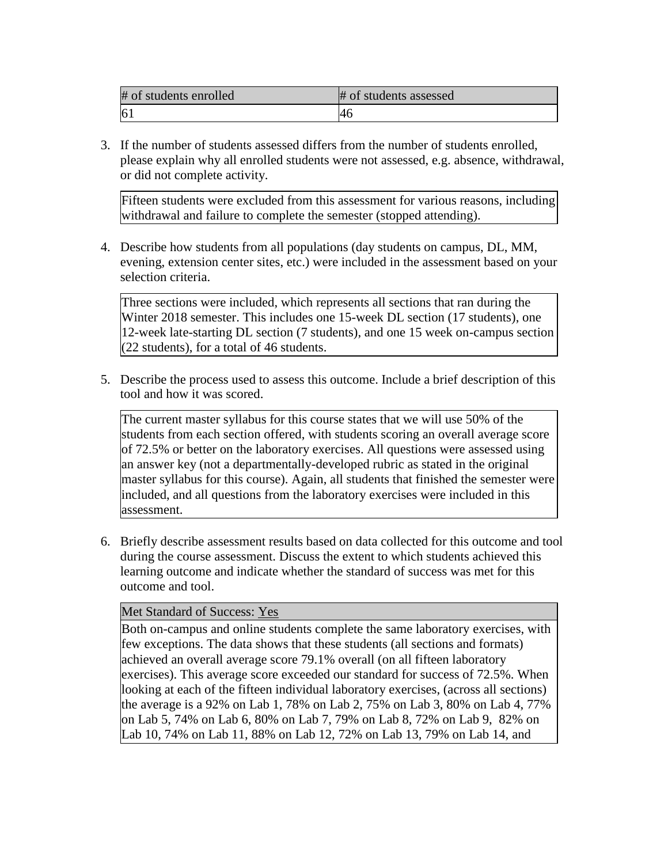| # of students enrolled | # of students assessed |
|------------------------|------------------------|
| 6 <sub>1</sub>         | -46                    |

3. If the number of students assessed differs from the number of students enrolled, please explain why all enrolled students were not assessed, e.g. absence, withdrawal, or did not complete activity.

Fifteen students were excluded from this assessment for various reasons, including withdrawal and failure to complete the semester (stopped attending).

4. Describe how students from all populations (day students on campus, DL, MM, evening, extension center sites, etc.) were included in the assessment based on your selection criteria.

Three sections were included, which represents all sections that ran during the Winter 2018 semester. This includes one 15-week DL section (17 students), one 12-week late-starting DL section (7 students), and one 15 week on-campus section  $(22$  students), for a total of 46 students.

5. Describe the process used to assess this outcome. Include a brief description of this tool and how it was scored.

The current master syllabus for this course states that we will use 50% of the students from each section offered, with students scoring an overall average score of 72.5% or better on the laboratory exercises. All questions were assessed using an answer key (not a departmentally-developed rubric as stated in the original master syllabus for this course). Again, all students that finished the semester were included, and all questions from the laboratory exercises were included in this assessment.

6. Briefly describe assessment results based on data collected for this outcome and tool during the course assessment. Discuss the extent to which students achieved this learning outcome and indicate whether the standard of success was met for this outcome and tool.

### Met Standard of Success: Yes

Both on-campus and online students complete the same laboratory exercises, with few exceptions. The data shows that these students (all sections and formats) achieved an overall average score 79.1% overall (on all fifteen laboratory exercises). This average score exceeded our standard for success of 72.5%. When looking at each of the fifteen individual laboratory exercises, (across all sections) the average is a 92% on Lab 1, 78% on Lab 2, 75% on Lab 3, 80% on Lab 4, 77% on Lab 5, 74% on Lab 6, 80% on Lab 7, 79% on Lab 8, 72% on Lab 9, 82% on Lab 10, 74% on Lab 11, 88% on Lab 12, 72% on Lab 13, 79% on Lab 14, and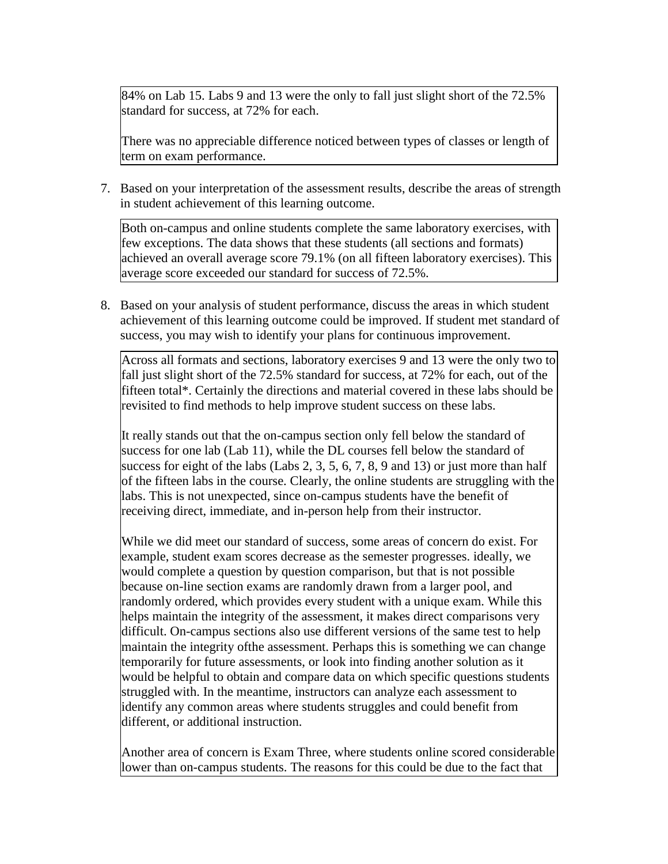84% on Lab 15. Labs 9 and 13 were the only to fall just slight short of the 72.5% standard for success, at 72% for each.

There was no appreciable difference noticed between types of classes or length of term on exam performance.

7. Based on your interpretation of the assessment results, describe the areas of strength in student achievement of this learning outcome.

Both on-campus and online students complete the same laboratory exercises, with few exceptions. The data shows that these students (all sections and formats) achieved an overall average score 79.1% (on all fifteen laboratory exercises). This average score exceeded our standard for success of 72.5%.

8. Based on your analysis of student performance, discuss the areas in which student achievement of this learning outcome could be improved. If student met standard of success, you may wish to identify your plans for continuous improvement.

Across all formats and sections, laboratory exercises 9 and 13 were the only two to fall just slight short of the 72.5% standard for success, at 72% for each, out of the fifteen total\*. Certainly the directions and material covered in these labs should be revisited to find methods to help improve student success on these labs.

It really stands out that the on-campus section only fell below the standard of success for one lab (Lab 11), while the DL courses fell below the standard of success for eight of the labs (Labs 2, 3, 5, 6, 7, 8, 9 and 13) or just more than half of the fifteen labs in the course. Clearly, the online students are struggling with the labs. This is not unexpected, since on-campus students have the benefit of receiving direct, immediate, and in-person help from their instructor.

While we did meet our standard of success, some areas of concern do exist. For example, student exam scores decrease as the semester progresses. ideally, we would complete a question by question comparison, but that is not possible because on-line section exams are randomly drawn from a larger pool, and randomly ordered, which provides every student with a unique exam. While this helps maintain the integrity of the assessment, it makes direct comparisons very difficult. On-campus sections also use different versions of the same test to help maintain the integrity ofthe assessment. Perhaps this is something we can change temporarily for future assessments, or look into finding another solution as it would be helpful to obtain and compare data on which specific questions students struggled with. In the meantime, instructors can analyze each assessment to identify any common areas where students struggles and could benefit from different, or additional instruction.

Another area of concern is Exam Three, where students online scored considerable lower than on-campus students. The reasons for this could be due to the fact that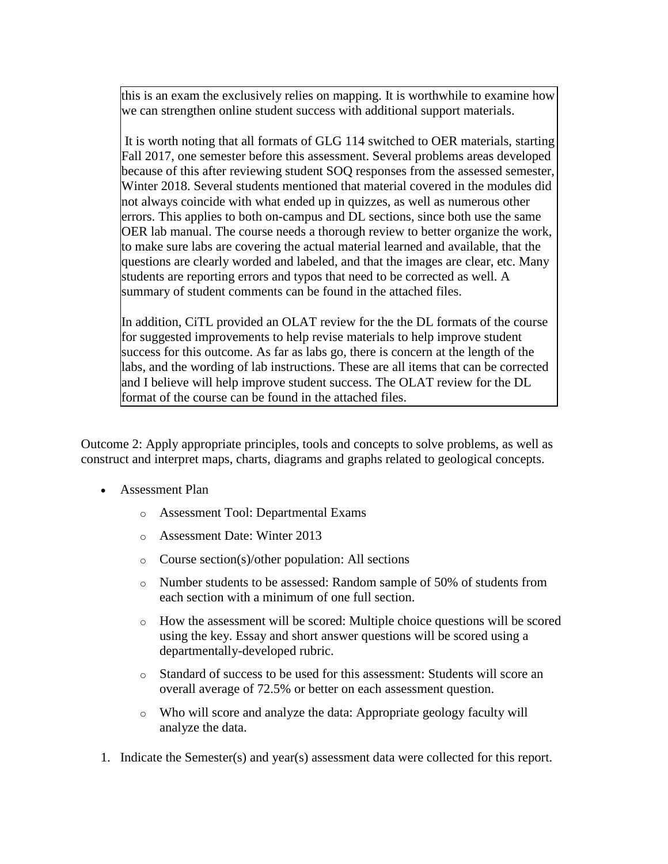this is an exam the exclusively relies on mapping. It is worthwhile to examine how we can strengthen online student success with additional support materials.

It is worth noting that all formats of GLG 114 switched to OER materials, starting Fall 2017, one semester before this assessment. Several problems areas developed because of this after reviewing student SOQ responses from the assessed semester, Winter 2018. Several students mentioned that material covered in the modules did not always coincide with what ended up in quizzes, as well as numerous other errors. This applies to both on-campus and DL sections, since both use the same OER lab manual. The course needs a thorough review to better organize the work, to make sure labs are covering the actual material learned and available, that the questions are clearly worded and labeled, and that the images are clear, etc. Many students are reporting errors and typos that need to be corrected as well. A summary of student comments can be found in the attached files.

In addition, CiTL provided an OLAT review for the the DL formats of the course for suggested improvements to help revise materials to help improve student success for this outcome. As far as labs go, there is concern at the length of the labs, and the wording of lab instructions. These are all items that can be corrected and I believe will help improve student success. The OLAT review for the DL format of the course can be found in the attached files.

Outcome 2: Apply appropriate principles, tools and concepts to solve problems, as well as construct and interpret maps, charts, diagrams and graphs related to geological concepts.

- Assessment Plan
	- o Assessment Tool: Departmental Exams
	- o Assessment Date: Winter 2013
	- o Course section(s)/other population: All sections
	- o Number students to be assessed: Random sample of 50% of students from each section with a minimum of one full section.
	- $\circ$  How the assessment will be scored: Multiple choice questions will be scored using the key. Essay and short answer questions will be scored using a departmentally-developed rubric.
	- o Standard of success to be used for this assessment: Students will score an overall average of 72.5% or better on each assessment question.
	- o Who will score and analyze the data: Appropriate geology faculty will analyze the data.
- 1. Indicate the Semester(s) and year(s) assessment data were collected for this report.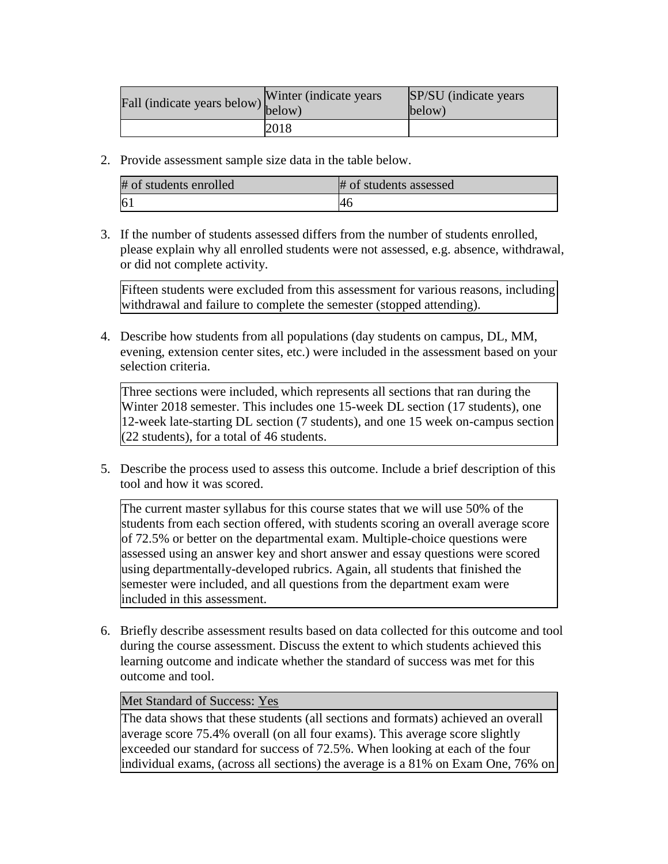| Fall (indicate years below) below) | Winter (indicate years) | SP/SU (indicate years)<br>below) |
|------------------------------------|-------------------------|----------------------------------|
|                                    | 2018                    |                                  |

2. Provide assessment sample size data in the table below.

| # of students enrolled | # of students assessed |
|------------------------|------------------------|
| 6 <sup>1</sup>         | -46                    |

3. If the number of students assessed differs from the number of students enrolled, please explain why all enrolled students were not assessed, e.g. absence, withdrawal, or did not complete activity.

Fifteen students were excluded from this assessment for various reasons, including withdrawal and failure to complete the semester (stopped attending).

4. Describe how students from all populations (day students on campus, DL, MM, evening, extension center sites, etc.) were included in the assessment based on your selection criteria.

Three sections were included, which represents all sections that ran during the Winter 2018 semester. This includes one 15-week DL section (17 students), one 12-week late-starting DL section (7 students), and one 15 week on-campus section  $(22$  students), for a total of 46 students.

5. Describe the process used to assess this outcome. Include a brief description of this tool and how it was scored.

The current master syllabus for this course states that we will use 50% of the students from each section offered, with students scoring an overall average score of 72.5% or better on the departmental exam. Multiple-choice questions were assessed using an answer key and short answer and essay questions were scored using departmentally-developed rubrics. Again, all students that finished the semester were included, and all questions from the department exam were included in this assessment.

6. Briefly describe assessment results based on data collected for this outcome and tool during the course assessment. Discuss the extent to which students achieved this learning outcome and indicate whether the standard of success was met for this outcome and tool.

### Met Standard of Success: Yes

The data shows that these students (all sections and formats) achieved an overall average score 75.4% overall (on all four exams). This average score slightly exceeded our standard for success of 72.5%. When looking at each of the four individual exams, (across all sections) the average is a 81% on Exam One, 76% on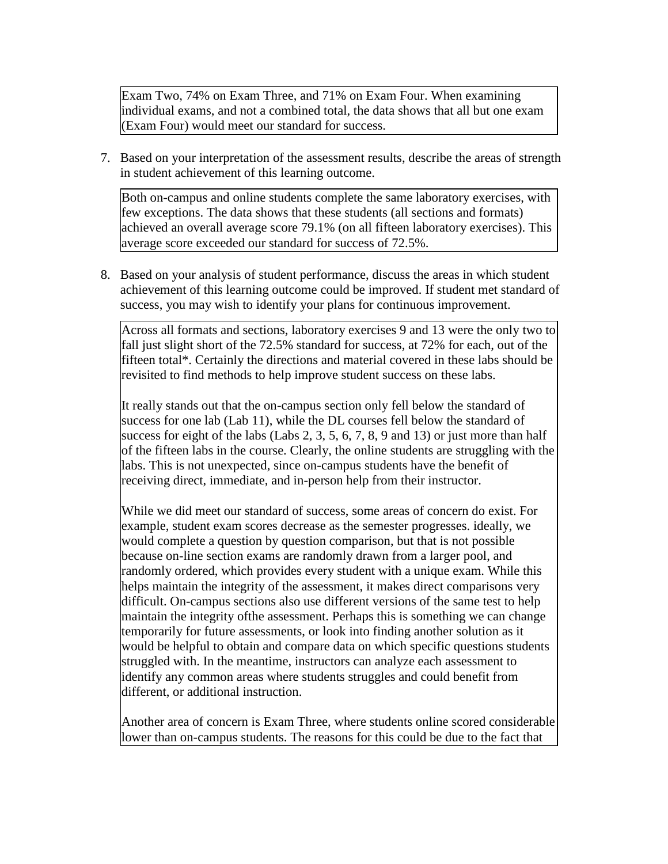Exam Two, 74% on Exam Three, and 71% on Exam Four. When examining individual exams, and not a combined total, the data shows that all but one exam (Exam Four) would meet our standard for success.

7. Based on your interpretation of the assessment results, describe the areas of strength in student achievement of this learning outcome.

Both on-campus and online students complete the same laboratory exercises, with few exceptions. The data shows that these students (all sections and formats) achieved an overall average score 79.1% (on all fifteen laboratory exercises). This average score exceeded our standard for success of 72.5%.

8. Based on your analysis of student performance, discuss the areas in which student achievement of this learning outcome could be improved. If student met standard of success, you may wish to identify your plans for continuous improvement.

Across all formats and sections, laboratory exercises 9 and 13 were the only two to fall just slight short of the 72.5% standard for success, at 72% for each, out of the fifteen total\*. Certainly the directions and material covered in these labs should be revisited to find methods to help improve student success on these labs.

It really stands out that the on-campus section only fell below the standard of success for one lab (Lab 11), while the DL courses fell below the standard of success for eight of the labs (Labs 2, 3, 5, 6, 7, 8, 9 and 13) or just more than half of the fifteen labs in the course. Clearly, the online students are struggling with the labs. This is not unexpected, since on-campus students have the benefit of receiving direct, immediate, and in-person help from their instructor.

While we did meet our standard of success, some areas of concern do exist. For example, student exam scores decrease as the semester progresses. ideally, we would complete a question by question comparison, but that is not possible because on-line section exams are randomly drawn from a larger pool, and randomly ordered, which provides every student with a unique exam. While this helps maintain the integrity of the assessment, it makes direct comparisons very difficult. On-campus sections also use different versions of the same test to help maintain the integrity ofthe assessment. Perhaps this is something we can change temporarily for future assessments, or look into finding another solution as it would be helpful to obtain and compare data on which specific questions students struggled with. In the meantime, instructors can analyze each assessment to identify any common areas where students struggles and could benefit from different, or additional instruction.

Another area of concern is Exam Three, where students online scored considerable lower than on-campus students. The reasons for this could be due to the fact that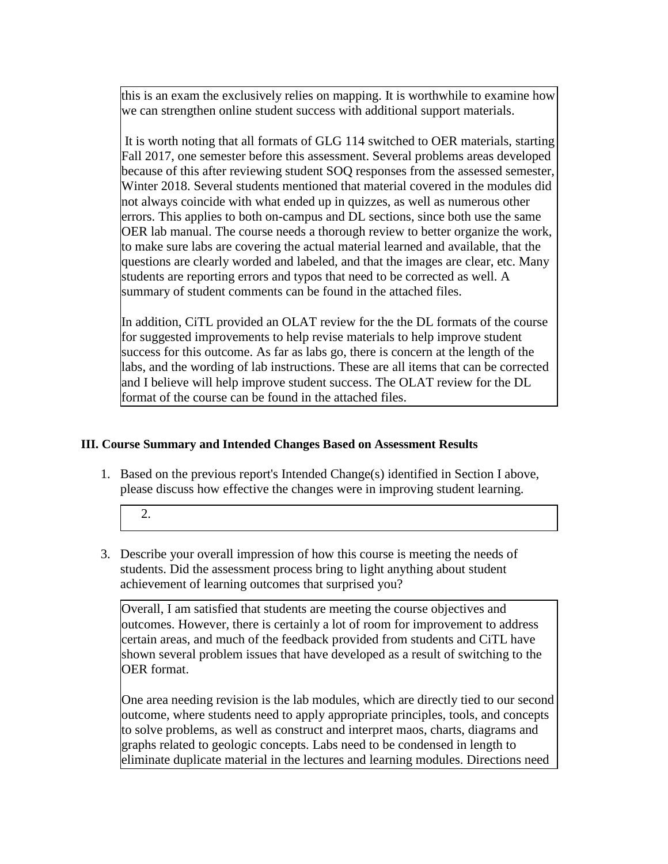this is an exam the exclusively relies on mapping. It is worthwhile to examine how we can strengthen online student success with additional support materials.

It is worth noting that all formats of GLG 114 switched to OER materials, starting Fall 2017, one semester before this assessment. Several problems areas developed because of this after reviewing student SOQ responses from the assessed semester, Winter 2018. Several students mentioned that material covered in the modules did not always coincide with what ended up in quizzes, as well as numerous other errors. This applies to both on-campus and DL sections, since both use the same OER lab manual. The course needs a thorough review to better organize the work, to make sure labs are covering the actual material learned and available, that the questions are clearly worded and labeled, and that the images are clear, etc. Many students are reporting errors and typos that need to be corrected as well. A summary of student comments can be found in the attached files.

In addition, CiTL provided an OLAT review for the the DL formats of the course for suggested improvements to help revise materials to help improve student success for this outcome. As far as labs go, there is concern at the length of the labs, and the wording of lab instructions. These are all items that can be corrected and I believe will help improve student success. The OLAT review for the DL format of the course can be found in the attached files.

# **III. Course Summary and Intended Changes Based on Assessment Results**

1. Based on the previous report's Intended Change(s) identified in Section I above, please discuss how effective the changes were in improving student learning.

2.

3. Describe your overall impression of how this course is meeting the needs of students. Did the assessment process bring to light anything about student achievement of learning outcomes that surprised you?

Overall, I am satisfied that students are meeting the course objectives and outcomes. However, there is certainly a lot of room for improvement to address certain areas, and much of the feedback provided from students and CiTL have shown several problem issues that have developed as a result of switching to the OER format.

One area needing revision is the lab modules, which are directly tied to our second outcome, where students need to apply appropriate principles, tools, and concepts to solve problems, as well as construct and interpret maos, charts, diagrams and graphs related to geologic concepts. Labs need to be condensed in length to eliminate duplicate material in the lectures and learning modules. Directions need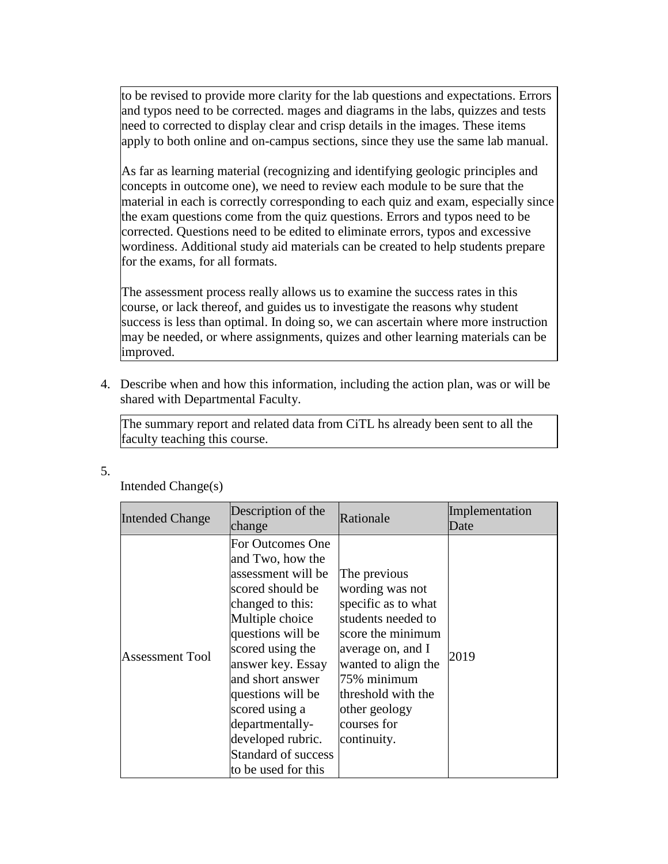to be revised to provide more clarity for the lab questions and expectations. Errors and typos need to be corrected. mages and diagrams in the labs, quizzes and tests need to corrected to display clear and crisp details in the images. These items apply to both online and on-campus sections, since they use the same lab manual.

As far as learning material (recognizing and identifying geologic principles and concepts in outcome one), we need to review each module to be sure that the material in each is correctly corresponding to each quiz and exam, especially since the exam questions come from the quiz questions. Errors and typos need to be corrected. Questions need to be edited to eliminate errors, typos and excessive wordiness. Additional study aid materials can be created to help students prepare for the exams, for all formats.

The assessment process really allows us to examine the success rates in this course, or lack thereof, and guides us to investigate the reasons why student success is less than optimal. In doing so, we can ascertain where more instruction may be needed, or where assignments, quizes and other learning materials can be improved.

4. Describe when and how this information, including the action plan, was or will be shared with Departmental Faculty.

The summary report and related data from CiTL hs already been sent to all the faculty teaching this course.

5.

Intended Change(s)

| <b>Intended Change</b> | Description of the<br>change                                                                                                                                                                                                                                                                                                                | Rationale                                                                                                                                                                                                                         | Implementation<br>Date |
|------------------------|---------------------------------------------------------------------------------------------------------------------------------------------------------------------------------------------------------------------------------------------------------------------------------------------------------------------------------------------|-----------------------------------------------------------------------------------------------------------------------------------------------------------------------------------------------------------------------------------|------------------------|
| <b>Assessment Tool</b> | For Outcomes One<br>and Two, how the<br>assessment will be<br>scored should be<br>changed to this:<br>Multiple choice<br>questions will be<br>scored using the<br>answer key. Essay<br>and short answer<br>questions will be<br>scored using a<br>departmentally-<br>developed rubric.<br><b>Standard of success</b><br>to be used for this | The previous<br>wording was not<br>specific as to what<br>students needed to<br>score the minimum<br>average on, and I<br>wanted to align the<br>75% minimum<br>threshold with the<br>other geology<br>courses for<br>continuity. | 2019                   |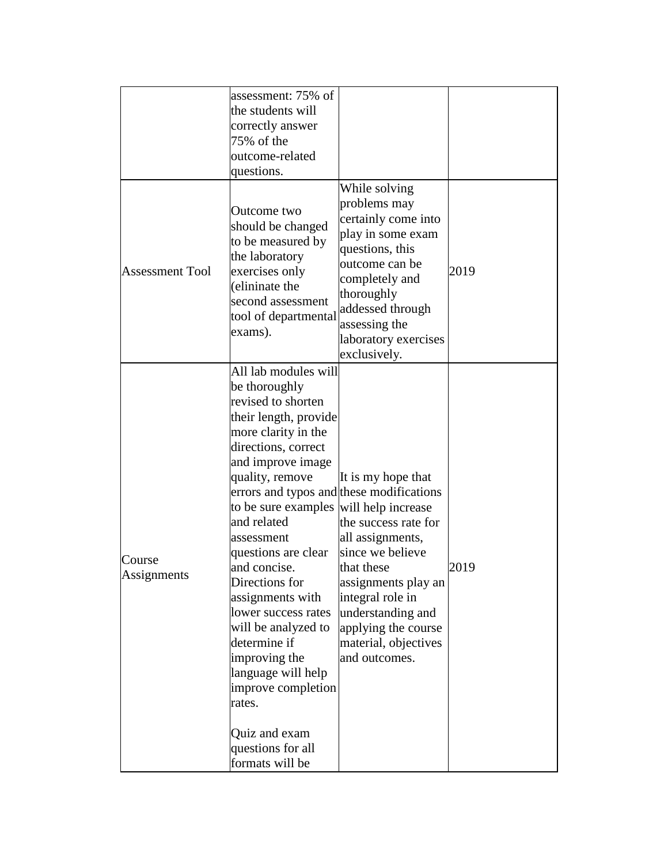|                        | assessment: 75% of<br>the students will<br>correctly answer<br>75% of the<br>outcome-related<br>questions.                                                                                                                                                                                                                                                                                                                                                                                                                                                               |                                                                                                                                                                                                                                  |      |
|------------------------|--------------------------------------------------------------------------------------------------------------------------------------------------------------------------------------------------------------------------------------------------------------------------------------------------------------------------------------------------------------------------------------------------------------------------------------------------------------------------------------------------------------------------------------------------------------------------|----------------------------------------------------------------------------------------------------------------------------------------------------------------------------------------------------------------------------------|------|
| <b>Assessment Tool</b> | Outcome two<br>should be changed<br>to be measured by<br>the laboratory<br>exercises only<br>(elininate the<br>second assessment<br>tool of departmental<br>exams).                                                                                                                                                                                                                                                                                                                                                                                                      | While solving<br>problems may<br>certainly come into<br>play in some exam<br>questions, this<br>outcome can be<br>completely and<br>thoroughly<br>addessed through<br>assessing the<br>laboratory exercises<br>exclusively.      | 2019 |
| Course<br>Assignments  | All lab modules will<br>be thoroughly<br>revised to shorten<br>their length, provide<br>more clarity in the<br>directions, correct<br>and improve image<br>quality, remove<br>errors and typos and these modifications<br>to be sure examples will help increase<br>and related<br>assessment<br>questions are clear<br>and concise.<br>Directions for<br>assignments with<br>lower success rates<br>will be analyzed to<br>determine if<br>improving the<br>language will help<br>improve completion<br>rates.<br>Quiz and exam<br>questions for all<br>formats will be | It is my hope that<br>the success rate for<br>all assignments,<br>since we believe<br>that these<br>assignments play an<br>integral role in<br>understanding and<br>applying the course<br>material, objectives<br>and outcomes. | 2019 |